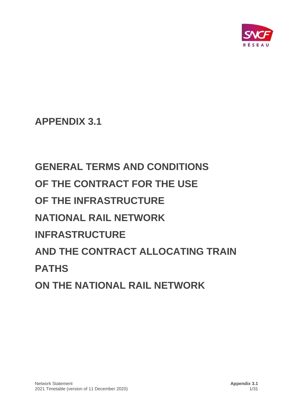

**APPENDIX 3.1**

# **GENERAL TERMS AND CONDITIONS OF THE CONTRACT FOR THE USE OF THE INFRASTRUCTURE NATIONAL RAIL NETWORK INFRASTRUCTURE AND THE CONTRACT ALLOCATING TRAIN PATHS ON THE NATIONAL RAIL NETWORK**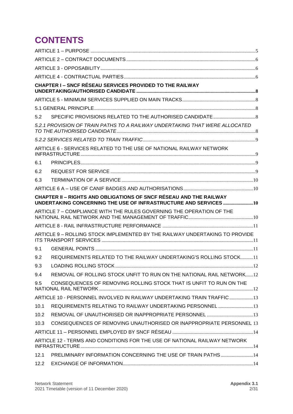# **CONTENTS**

|      | <b>CHAPTER I-SNCF RÉSEAU SERVICES PROVIDED TO THE RAILWAY</b>                                                                                 |  |
|------|-----------------------------------------------------------------------------------------------------------------------------------------------|--|
|      |                                                                                                                                               |  |
|      |                                                                                                                                               |  |
| 5.2  |                                                                                                                                               |  |
|      | 5.2.1 PROVISION OF TRAIN PATHS TO A RAILWAY UNDERTAKING THAT WERE ALLOCATED                                                                   |  |
|      |                                                                                                                                               |  |
|      | ARTICLE 6 - SERVICES RELATED TO THE USE OF NATIONAL RAILWAY NETWORK                                                                           |  |
| 6.1  |                                                                                                                                               |  |
| 6.2  |                                                                                                                                               |  |
| 6.3  |                                                                                                                                               |  |
|      |                                                                                                                                               |  |
|      | <b>CHAPTER II – RIGHTS AND OBLIGATIONS OF SNCF RÉSEAU AND THE RAILWAY</b><br>UNDERTAKING CONCERNING THE USE OF INFRASTRUCTURE AND SERVICES 10 |  |
|      | ARTICLE 7 - COMPLIANCE WITH THE RULES GOVERNING THE OPERATION OF THE                                                                          |  |
|      |                                                                                                                                               |  |
|      | ARTICLE 9 - ROLLING STOCK IMPLEMENTED BY THE RAILWAY UNDERTAKING TO PROVIDE                                                                   |  |
| 9.1  |                                                                                                                                               |  |
| 9.2  | REQUIREMENTS RELATED TO THE RAILWAY UNDERTAKING'S ROLLING STOCK11                                                                             |  |
| 9.3  |                                                                                                                                               |  |
| 9.4  | REMOVAL OF ROLLING STOCK UNFIT TO RUN ON THE NATIONAL RAIL NETWORK12                                                                          |  |
| 9.5  | CONSEQUENCES OF REMOVING ROLLING STOCK THAT IS UNFIT TO RUN ON THE                                                                            |  |
|      | ARTICLE 10 - PERSONNEL INVOLVED IN RAILWAY UNDERTAKING TRAIN TRAFFIC 13                                                                       |  |
| 10.1 | REQUIREMENTS RELATING TO RAILWAY UNDERTAKING PERSONNEL  13                                                                                    |  |
| 10.2 |                                                                                                                                               |  |
| 10.3 | CONSEQUENCES OF REMOVING UNAUTHORISED OR INAPPROPRIATE PERSONNEL 13                                                                           |  |
|      |                                                                                                                                               |  |
|      | ARTICLE 12 - TERMS AND CONDITIONS FOR THE USE OF NATIONAL RAILWAY NETWORK                                                                     |  |
| 12.1 | PRELIMINARY INFORMATION CONCERNING THE USE OF TRAIN PATHS 14                                                                                  |  |
| 12.2 |                                                                                                                                               |  |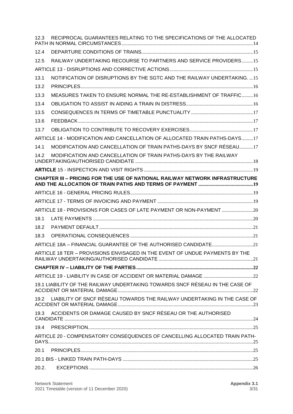| 12.3  | RECIPROCAL GUARANTEES RELATING TO THE SPECIFICATIONS OF THE ALLOCATED        |
|-------|------------------------------------------------------------------------------|
| 12.4  |                                                                              |
| 12.5  | RAILWAY UNDERTAKING RECOURSE TO PARTNERS AND SERVICE PROVIDERS15             |
|       |                                                                              |
| 13.1  | NOTIFICATION OF DISRUPTIONS BY THE SGTC AND THE RAILWAY UNDERTAKING15        |
| 13.2  |                                                                              |
| 13.3  | MEASURES TAKEN TO ENSURE NORMAL THE RE-ESTABLISHMENT OF TRAFFIC16            |
| 13.4  |                                                                              |
| 13.5  |                                                                              |
| 13.6  |                                                                              |
| 13.7  |                                                                              |
|       | ARTICLE 14 - MODIFICATION AND CANCELLATION OF ALLOCATED TRAIN PATHS-DAYS17   |
| 14.1  | MODIFICATION AND CANCELLATION OF TRAIN PATHS-DAYS BY SNCF RÉSEAU17           |
| 14.2  | MODIFICATION AND CANCELLATION OF TRAIN PATHS-DAYS BY THE RAILWAY             |
|       |                                                                              |
|       | CHAPTER III - PRICING FOR THE USE OF NATIONAL RAILWAY NETWORK INFRASTRUCTURE |
|       |                                                                              |
|       |                                                                              |
|       | ARTICLE 18 - PROVISIONS FOR CASES OF LATE PAYMENT OR NON-PAYMENT             |
| 18.1  |                                                                              |
| 18.2  |                                                                              |
| 18.3  |                                                                              |
|       |                                                                              |
|       | ARTICLE 18 TER - PROVISIONS ENVISAGED IN THE EVENT OF UNDUE PAYMENTS BY THE  |
|       |                                                                              |
|       |                                                                              |
|       | 19.1 LIABILITY OF THE RAILWAY UNDERTAKING TOWARDS SNCF RÉSEAU IN THE CASE OF |
|       | 19.2 LIABILITY OF SNCF RÉSEAU TOWARDS THE RAILWAY UNDERTAKING IN THE CASE OF |
|       | 19.3 ACCIDENTS OR DAMAGE CAUSED BY SNCF RÉSEAU OR THE AUTHORISED             |
| 19.4  |                                                                              |
|       | ARTICLE 20 - COMPENSATORY CONSEQUENCES OF CANCELLING ALLOCATED TRAIN PATH-   |
| 20.1  |                                                                              |
|       |                                                                              |
| 20.2. |                                                                              |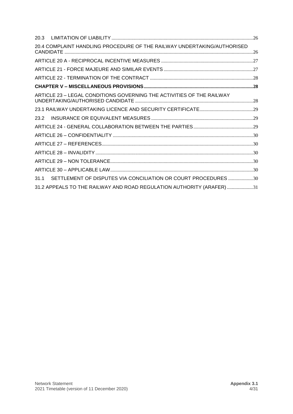| 20.3 |                                                                         |  |
|------|-------------------------------------------------------------------------|--|
|      | 20.4 COMPLAINT HANDLING PROCEDURE OF THE RAILWAY UNDERTAKING/AUTHORISED |  |
|      |                                                                         |  |
|      |                                                                         |  |
|      |                                                                         |  |
|      |                                                                         |  |
|      | ARTICLE 23 - LEGAL CONDITIONS GOVERNING THE ACTIVITIES OF THE RAILWAY   |  |
|      |                                                                         |  |
| 23.2 |                                                                         |  |
|      |                                                                         |  |
|      |                                                                         |  |
|      |                                                                         |  |
|      |                                                                         |  |
|      |                                                                         |  |
|      |                                                                         |  |
| 31.1 | SETTLEMENT OF DISPUTES VIA CONCILIATION OR COURT PROCEDURES30           |  |
|      | 31.2 APPEALS TO THE RAILWAY AND ROAD REGULATION AUTHORITY (ARAFER)31    |  |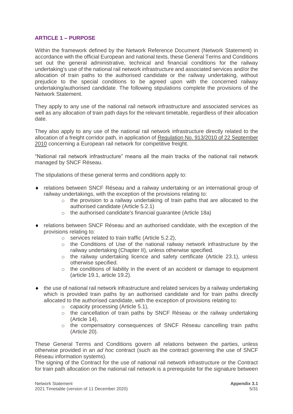#### <span id="page-4-0"></span>**ARTICLE 1 – PURPOSE**

Within the framework defined by the Network Reference Document (Network Statement) in accordance with the official European and national texts, these General Terms and Conditions set out the general administrative, technical and financial conditions for the railway undertaking's use of the national rail network infrastructure and associated services and/or the allocation of train paths to the authorised candidate or the railway undertaking, without prejudice to the special conditions to be agreed upon with the concerned railway undertaking/authorised candidate. The following stipulations complete the provisions of the Network Statement.

They apply to any use of the national rail network infrastructure and associated services as well as any allocation of train path days for the relevant timetable, regardless of their allocation date.

They also apply to any use of the national rail network infrastructure directly related to the allocation of a freight corridor path, in application of [Regulation No. 913/2010 of 22 September](http://eur-lex.europa.eu/LexUriServ/LexUriServ.do?uri=OJ:L:2010:276:0022:0032:en:PDF)  [2010](http://eur-lex.europa.eu/LexUriServ/LexUriServ.do?uri=OJ:L:2010:276:0022:0032:en:PDF) concerning a European rail network for competitive freight.

"National rail network infrastructure" means all the main tracks of the national rail network managed by SNCF Réseau.

The stipulations of these general terms and conditions apply to:

- relations between SNCF Réseau and a railway undertaking or an international group of railway undertakings, with the exception of the provisions relating to:
	- $\circ$  the provision to a railway undertaking of train paths that are allocated to the authorised candidate (Article 5.2.1)
	- o the authorised candidate's financial guarantee (Article 18a)
- relations between SNCF Réseau and an authorised candidate, with the exception of the provisions relating to:
	- o services related to train traffic (Article 5.2.2),
	- $\circ$  the Conditions of Use of the national railway network infrastructure by the railway undertaking (Chapter II), unless otherwise specified.
	- $\circ$  the railway undertaking licence and safety certificate (Article 23.1), unless otherwise specified.
	- $\circ$  the conditions of liability in the event of an accident or damage to equipment (article 19.1, article 19.2).
- $\bullet$  the use of national rail network infrastructure and related services by a railway undertaking which is provided train paths by an authorised candidate and for train paths directly allocated to the authorised candidate, with the exception of provisions relating to:
	- o capacity processing (Article 5.1),
	- o the cancellation of train paths by SNCF Réseau or the railway undertaking (Article 14),
	- $\circ$  the compensatory consequences of SNCF Réseau cancelling train paths (Article 20).

These General Terms and Conditions govern all relations between the parties, unless otherwise provided in an *ad hoc* contract (such as the contract governing the use of SNCF Réseau information systems).

The signing of the Contract for the use of national rail network infrastructure or the Contract for train path allocation on the national rail network is a prerequisite for the signature between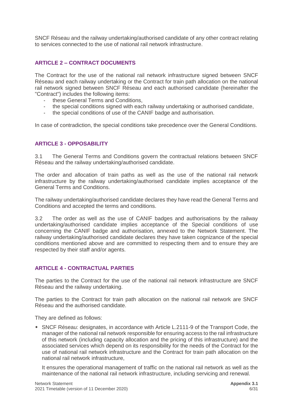SNCF Réseau and the railway undertaking/authorised candidate of any other contract relating to services connected to the use of national rail network infrastructure.

#### <span id="page-5-0"></span>**ARTICLE 2 – CONTRACT DOCUMENTS**

The Contract for the use of the national rail network infrastructure signed between SNCF Réseau and each railway undertaking or the Contract for train path allocation on the national rail network signed between SNCF Réseau and each authorised candidate (hereinafter the "Contract") includes the following items:

- these General Terms and Conditions,
- the special conditions signed with each railway undertaking or authorised candidate,
- the special conditions of use of the CANIF badge and authorisation.

In case of contradiction, the special conditions take precedence over the General Conditions.

#### <span id="page-5-1"></span>**ARTICLE 3 - OPPOSABILITY**

3.1 The General Terms and Conditions govern the contractual relations between SNCF Réseau and the railway undertaking/authorised candidate.

The order and allocation of train paths as well as the use of the national rail network infrastructure by the railway undertaking/authorised candidate implies acceptance of the General Terms and Conditions.

The railway undertaking/authorised candidate declares they have read the General Terms and Conditions and accepted the terms and conditions.

3.2 The order as well as the use of CANIF badges and authorisations by the railway undertaking/authorised candidate implies acceptance of the Special conditions of use concerning the CANIF badge and authorisation, annexed to the Network Statement. The railway undertaking/authorised candidate declares they have taken cognizance of the special conditions mentioned above and are committed to respecting them and to ensure they are respected by their staff and/or agents.

#### <span id="page-5-2"></span>**ARTICLE 4 - CONTRACTUAL PARTIES**

The parties to the Contract for the use of the national rail network infrastructure are SNCF Réseau and the railway undertaking.

The parties to the Contract for train path allocation on the national rail network are SNCF Réseau and the authorised candidate.

They are defined as follows:

 SNCF Réseau: designates, in accordance with Article L.2111-9 of the Transport Code, the manager of the national rail network responsible for ensuring access to the rail infrastructure of this network (including capacity allocation and the pricing of this infrastructure) and the associated services which depend on its responsibility for the needs of the Contract for the use of national rail network infrastructure and the Contract for train path allocation on the national rail network infrastructure,

It ensures the operational management of traffic on the national rail network as well as the maintenance of the national rail network infrastructure, including servicing and renewal.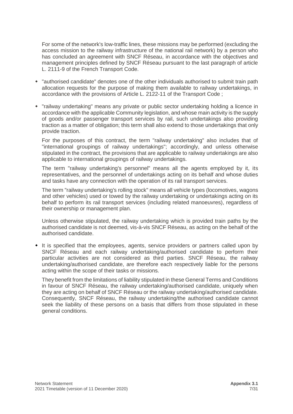For some of the network's low-traffic lines, these missions may be performed (excluding the access mission to the railway infrastructure of the national rail network) by a person who has concluded an agreement with SNCF Réseau, in accordance with the objectives and management principles defined by SNCF Réseau pursuant to the last paragraph of article L. 2111-9 of the French Transport Code.

- "authorised candidate" denotes one of the other individuals authorised to submit train path allocation requests for the purpose of making them available to railway undertakings, in accordance with the provisions of Article L. 2122-11 of the Transport Code ;
- "railway undertaking" means any private or public sector undertaking holding a licence in accordance with the applicable Community legislation, and whose main activity is the supply of goods and/or passenger transport services by rail, such undertakings also providing traction as a matter of obligation; this term shall also extend to those undertakings that only provide traction.

For the purposes of this contract, the term "railway undertaking" also includes that of "international groupings of railway undertakings"; accordingly, and unless otherwise stipulated in the contract, the provisions that are applicable to railway undertakings are also applicable to international groupings of railway undertakings.

The term "railway undertaking's personnel" means all the agents employed by it, its representatives, and the personnel of undertakings acting on its behalf and whose duties and tasks have any connection with the operation of its rail transport services.

The term "railway undertaking's rolling stock" means all vehicle types (locomotives, wagons and other vehicles) used or towed by the railway undertaking or undertakings acting on its behalf to perform its rail transport services (including related manoeuvres), regardless of their ownership or management plan.

Unless otherwise stipulated, the railway undertaking which is provided train paths by the authorised candidate is not deemed, vis-à-vis SNCF Réseau, as acting on the behalf of the authorised candidate.

• It is specified that the employees, agents, service providers or partners called upon by SNCF Réseau and each railway undertaking/authorised candidate to perform their particular activities are not considered as third parties. SNCF Réseau, the railway undertaking/authorised candidate, are therefore each respectively liable for the persons acting within the scope of their tasks or missions.

They benefit from the limitations of liability stipulated in these General Terms and Conditions in favour of SNCF Réseau, the railway undertaking/authorised candidate, uniquely when they are acting on behalf of SNCF Réseau or the railway undertaking/authorised candidate. Consequently, SNCF Réseau, the railway undertaking/the authorised candidate cannot seek the liability of these persons on a basis that differs from those stipulated in these general conditions.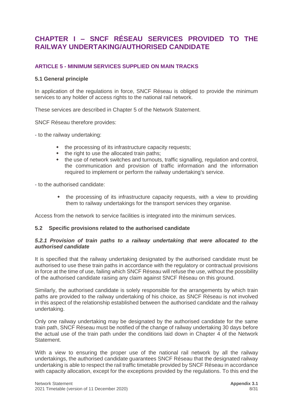# <span id="page-7-0"></span>**CHAPTER I – SNCF RÉSEAU SERVICES PROVIDED TO THE RAILWAY UNDERTAKING/AUTHORISED CANDIDATE**

#### <span id="page-7-1"></span>**ARTICLE 5 - MINIMUM SERVICES SUPPLIED ON MAIN TRACKS**

#### <span id="page-7-2"></span>**5.1 General principle**

In application of the regulations in force, SNCF Réseau is obliged to provide the minimum services to any holder of access rights to the national rail network.

These services are described in Chapter 5 of the Network Statement.

SNCF Réseau therefore provides:

- to the railway undertaking:

- the processing of its infrastructure capacity requests:
- $\bullet$  the right to use the allocated train paths:
- the use of network switches and turnouts, traffic signalling, regulation and control, the communication and provision of traffic information and the information required to implement or perform the railway undertaking's service.

- to the authorised candidate:

• the processing of its infrastructure capacity requests, with a view to providing them to railway undertakings for the transport services they organise.

Access from the network to service facilities is integrated into the minimum services.

#### <span id="page-7-3"></span>**5.2 Specific provisions related to the authorised candidate**

#### <span id="page-7-4"></span>*5.2.1 Provision of train paths to a railway undertaking that were allocated to the authorised candidate*

It is specified that the railway undertaking designated by the authorised candidate must be authorised to use these train paths in accordance with the regulatory or contractual provisions in force at the time of use, failing which SNCF Réseau will refuse the use, without the possibility of the authorised candidate raising any claim against SNCF Réseau on this ground.

Similarly, the authorised candidate is solely responsible for the arrangements by which train paths are provided to the railway undertaking of his choice, as SNCF Réseau is not involved in this aspect of the relationship established between the authorised candidate and the railway undertaking.

Only one railway undertaking may be designated by the authorised candidate for the same train path, SNCF Réseau must be notified of the change of railway undertaking 30 days before the actual use of the train path under the conditions laid down in Chapter 4 of the Network Statement.

With a view to ensuring the proper use of the national rail network by all the railway undertakings, the authorised candidate guarantees SNCF Réseau that the designated railway undertaking is able to respect the rail traffic timetable provided by SNCF Réseau in accordance with capacity allocation, except for the exceptions provided by the regulations. To this end the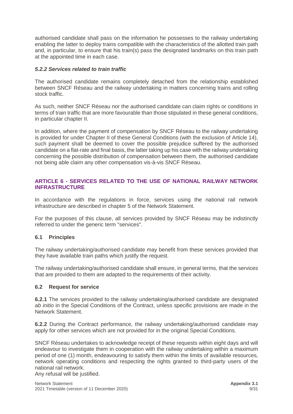authorised candidate shall pass on the information he possesses to the railway undertaking enabling the latter to deploy trains compatible with the characteristics of the allotted train path and, in particular, to ensure that his train(s) pass the designated landmarks on this train path at the appointed time in each case.

#### <span id="page-8-0"></span>*5.2.2 Services related to train traffic*

The authorised candidate remains completely detached from the relationship established between SNCF Réseau and the railway undertaking in matters concerning trains and rolling stock traffic.

As such, neither SNCF Réseau nor the authorised candidate can claim rights or conditions in terms of train traffic that are more favourable than those stipulated in these general conditions, in particular chapter II.

In addition, where the payment of compensation by SNCF Réseau to the railway undertaking is provided for under Chapter II of these General Conditions (with the exclusion of Article 14), such payment shall be deemed to cover the possible prejudice suffered by the authorised candidate on a flat-rate and final basis, the latter taking up his case with the railway undertaking concerning the possible distribution of compensation between them, the authorised candidate not being able claim any other compensation vis-à-vis SNCF Réseau.

#### <span id="page-8-1"></span>**ARTICLE 6 - SERVICES RELATED TO THE USE OF NATIONAL RAILWAY NETWORK INFRASTRUCTURE**

In accordance with the regulations in force, services using the national rail network infrastructure are described in chapter 5 of the Network Statement.

For the purposes of this clause, all services provided by SNCF Réseau may be indistinctly referred to under the generic term "services".

#### <span id="page-8-2"></span>**6.1 Principles**

The railway undertaking/authorised candidate may benefit from these services provided that they have available train paths which justify the request.

The railway undertaking/authorised candidate shall ensure, in general terms, that the services that are provided to them are adapted to the requirements of their activity.

#### <span id="page-8-3"></span>**6.2 Request for service**

**6.2.1** The services provided to the railway undertaking/authorised candidate are designated *ab initio* in the Special Conditions of the Contract, unless specific provisions are made in the Network Statement.

**6.2.2** During the Contract performance, the railway undertaking/authorised candidate may apply for other services which are not provided for in the original Special Conditions.

SNCF Réseau undertakes to acknowledge receipt of these requests within eight days and will endeavour to investigate them in cooperation with the railway undertaking within a maximum period of one (1) month, endeavouring to satisfy them within the limits of available resources, network operating conditions and respecting the rights granted to third-party users of the national rail network.

Any refusal will be justified.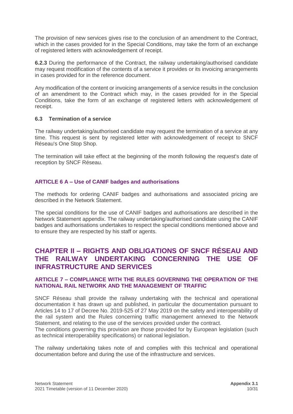The provision of new services gives rise to the conclusion of an amendment to the Contract, which in the cases provided for in the Special Conditions, may take the form of an exchange of registered letters with acknowledgement of receipt.

**6.2.3** During the performance of the Contract, the railway undertaking/authorised candidate may request modification of the contents of a service it provides or its invoicing arrangements in cases provided for in the reference document.

Any modification of the content or invoicing arrangements of a service results in the conclusion of an amendment to the Contract which may, in the cases provided for in the Special Conditions, take the form of an exchange of registered letters with acknowledgement of receipt.

#### <span id="page-9-0"></span>**6.3 Termination of a service**

The railway undertaking/authorised candidate may request the termination of a service at any time. This request is sent by registered letter with acknowledgement of receipt to SNCF Réseau's One Stop Shop.

The termination will take effect at the beginning of the month following the request's date of reception by SNCF Réseau.

#### <span id="page-9-1"></span>**ARTICLE 6 A – Use of CANIF badges and authorisations**

The methods for ordering CANIF badges and authorisations and associated pricing are described in the Network Statement.

The special conditions for the use of CANIF badges and authorisations are described in the Network Statement appendix. The railway undertaking/authorised candidate using the CANIF badges and authorisations undertakes to respect the special conditions mentioned above and to ensure they are respected by his staff or agents.

## <span id="page-9-2"></span>**CHAPTER II – RIGHTS AND OBLIGATIONS OF SNCF RÉSEAU AND THE RAILWAY UNDERTAKING CONCERNING THE USE OF INFRASTRUCTURE AND SERVICES**

#### <span id="page-9-3"></span>**ARTICLE 7 – COMPLIANCE WITH THE RULES GOVERNING THE OPERATION OF THE NATIONAL RAIL NETWORK AND THE MANAGEMENT OF TRAFFIC**

SNCF Réseau shall provide the railway undertaking with the technical and operational documentation it has drawn up and published, in particular the documentation pursuant to Articles 14 to 17 of Decree No. 2019-525 of 27 May 2019 on the safety and interoperability of the rail system and the Rules concerning traffic management annexed to the Network Statement, and relating to the use of the services provided under the contract.

The conditions governing this provision are those provided for by European legislation (such as technical interoperability specifications) or national legislation.

The railway undertaking takes note of and complies with this technical and operational documentation before and during the use of the infrastructure and services.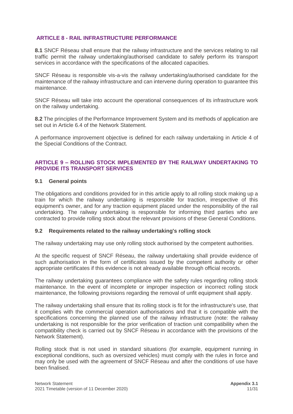#### <span id="page-10-0"></span>**ARTICLE 8 - RAIL INFRASTRUCTURE PERFORMANCE**

**8.1** SNCF Réseau shall ensure that the railway infrastructure and the services relating to rail traffic permit the railway undertaking/authorised candidate to safely perform its transport services in accordance with the specifications of the allocated capacities.

SNCF Réseau is responsible vis-a-vis the railway undertaking/authorised candidate for the maintenance of the railway infrastructure and can intervene during operation to guarantee this maintenance.

SNCF Réseau will take into account the operational consequences of its infrastructure work on the railway undertaking.

**8.2** The principles of the Performance Improvement System and its methods of application are set out in Article 6.4 of the Network Statement.

A performance improvement objective is defined for each railway undertaking in Article 4 of the Special Conditions of the Contract.

#### <span id="page-10-1"></span>**ARTICLE 9 – ROLLING STOCK IMPLEMENTED BY THE RAILWAY UNDERTAKING TO PROVIDE ITS TRANSPORT SERVICES**

#### <span id="page-10-2"></span>**9.1 General points**

The obligations and conditions provided for in this article apply to all rolling stock making up a train for which the railway undertaking is responsible for traction, irrespective of this equipment's owner, and for any traction equipment placed under the responsibility of the rail undertaking. The railway undertaking is responsible for informing third parties who are contracted to provide rolling stock about the relevant provisions of these General Conditions.

#### <span id="page-10-3"></span>**9.2 Requirements related to the railway undertaking's rolling stock**

The railway undertaking may use only rolling stock authorised by the competent authorities.

At the specific request of SNCF Réseau, the railway undertaking shall provide evidence of such authorisation in the form of certificates issued by the competent authority or other appropriate certificates if this evidence is not already available through official records.

The railway undertaking guarantees compliance with the safety rules regarding rolling stock maintenance. In the event of incomplete or improper inspection or incorrect rolling stock maintenance, the following provisions regarding the removal of unfit equipment shall apply.

The railway undertaking shall ensure that its rolling stock is fit for the infrastructure's use, that it complies with the commercial operation authorisations and that it is compatible with the specifications concerning the planned use of the railway infrastructure (note: the railway undertaking is not responsible for the prior verification of traction unit compatibility when the compatibility check is carried out by SNCF Réseau in accordance with the provisions of the Network Statement).

Rolling stock that is not used in standard situations (for example, equipment running in exceptional conditions, such as oversized vehicles) must comply with the rules in force and may only be used with the agreement of SNCF Réseau and after the conditions of use have been finalised.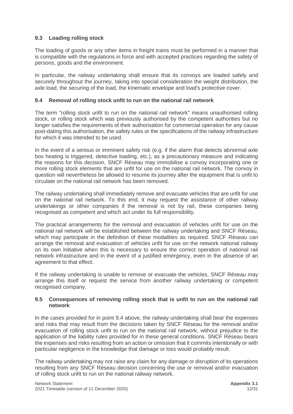#### <span id="page-11-0"></span>**9.3 Loading rolling stock**

The loading of goods or any other items in freight trains must be performed in a manner that is compatible with the regulations in force and with accepted practices regarding the safety of persons, goods and the environment.

In particular, the railway undertaking shall ensure that its convoys are loaded safely and securely throughout the journey, taking into special consideration the weight distribution, the axle load, the securing of the load, the kinematic envelope and load's protective cover.

#### <span id="page-11-1"></span>**9.4 Removal of rolling stock unfit to run on the national rail network**

The term "rolling stock unfit to run on the national rail network" means unauthorised rolling stock, or rolling stock which was previously authorised by the competent authorities but no longer satisfies the requirements of their authorisation for commercial operation for any cause post-dating this authorisation, the safety rules or the specifications of the railway infrastructure for which it was intended to be used.

In the event of a serious or imminent safety risk (e.g. if the alarm that detects abnormal axle box heating is triggered, detective loading, etc.), as a precautionary measure and indicating the reasons for this decision, SNCF Réseau may immobilise a convoy incorporating one or more rolling stock elements that are unfit for use on the national rail network. The convoy in question will nevertheless be allowed to resume its journey after the equipment that is unfit to circulate on the national rail network has been removed.

The railway undertaking shall immediately remove and evacuate vehicles that are unfit for use on the national rail network. To this end, it may request the assistance of other railway undertakings or other companies if the removal is not by rail, these companies being recognised as competent and which act under its full responsibility.

The practical arrangements for the removal and evacuation of vehicles unfit for use on the national rail network will be established between the railway undertaking and SNCF Réseau, which may participate in the definition of these modalities as required. SNCF Réseau can arrange the removal and evacuation of vehicles unfit for use on the network national railway on its own initiative when this is necessary to ensure the correct operation of national rail network infrastructure and in the event of a justified emergency, even in the absence of an agreement to that effect.

If the railway undertaking is unable to remove or evacuate the vehicles, SNCF Réseau may arrange this itself or request the service from another railway undertaking or competent recognised company.

#### <span id="page-11-2"></span>**9.5 Consequences of removing rolling stock that is unfit to run on the national rail network**

In the cases provided for in point 9.4 above, the railway undertaking shall bear the expenses and risks that may result from the decisions taken by SNCF Réseau for the removal and/or evacuation of rolling stock unfit to run on the national rail network, without prejudice to the application of the liability rules provided for in these general conditions. SNCF Réseau bears the expenses and risks resulting from an action or omission that it commits intentionally or with particular negligence in the knowledge that damage or loss would probably result.

The railway undertaking may not raise any claim for any damage or disruption of its operations resulting from any SNCF Réseau decision concerning the use or removal and/or evacuation of rolling stock unfit to run on the national railway network.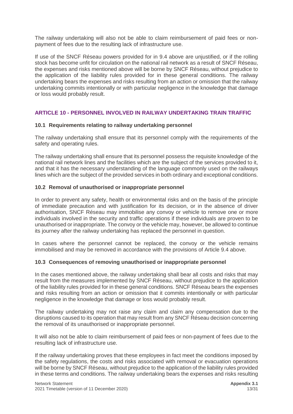The railway undertaking will also not be able to claim reimbursement of paid fees or nonpayment of fees due to the resulting lack of infrastructure use.

If use of the SNCF Réseau powers provided for in 9.4 above are unjustified, or if the rolling stock has become unfit for circulation on the national rail network as a result of SNCF Réseau, the expenses and risks mentioned above will be borne by SNCF Réseau, without prejudice to the application of the liability rules provided for in these general conditions. The railway undertaking bears the expenses and risks resulting from an action or omission that the railway undertaking commits intentionally or with particular negligence in the knowledge that damage or loss would probably result.

#### <span id="page-12-0"></span>**ARTICLE 10 - PERSONNEL INVOLVED IN RAILWAY UNDERTAKING TRAIN TRAFFIC**

#### <span id="page-12-1"></span>**10.1 Requirements relating to railway undertaking personnel**

The railway undertaking shall ensure that its personnel comply with the requirements of the safety and operating rules.

The railway undertaking shall ensure that its personnel possess the requisite knowledge of the national rail network lines and the facilities which are the subject of the services provided to it, and that it has the necessary understanding of the language commonly used on the railways lines which are the subject of the provided services in both ordinary and exceptional conditions.

#### <span id="page-12-2"></span>**10.2 Removal of unauthorised or inappropriate personnel**

In order to prevent any safety, health or environmental risks and on the basis of the principle of immediate precaution and with justification for its decision, or in the absence of driver authorisation, SNCF Réseau may immobilise any convoy or vehicle to remove one or more individuals involved in the security and traffic operations if these individuals are proven to be unauthorised or inappropriate. The convoy or the vehicle may, however, be allowed to continue its journey after the railway undertaking has replaced the personnel in question.

In cases where the personnel cannot be replaced, the convoy or the vehicle remains immobilised and may be removed in accordance with the provisions of Article 9.4 above.

#### <span id="page-12-3"></span>**10.3 Consequences of removing unauthorised or inappropriate personnel**

In the cases mentioned above, the railway undertaking shall bear all costs and risks that may result from the measures implemented by SNCF Réseau, without prejudice to the application of the liability rules provided for in these general conditions. SNCF Réseau bears the expenses and risks resulting from an action or omission that it commits intentionally or with particular negligence in the knowledge that damage or loss would probably result.

The railway undertaking may not raise any claim and claim any compensation due to the disruptions caused to its operation that may result from any SNCF Réseau decision concerning the removal of its unauthorised or inappropriate personnel.

It will also not be able to claim reimbursement of paid fees or non-payment of fees due to the resulting lack of infrastructure use.

If the railway undertaking proves that these employees in fact meet the conditions imposed by the safety regulations, the costs and risks associated with removal or evacuation operations will be borne by SNCF Réseau, without prejudice to the application of the liability rules provided in these terms and conditions. The railway undertaking bears the expenses and risks resulting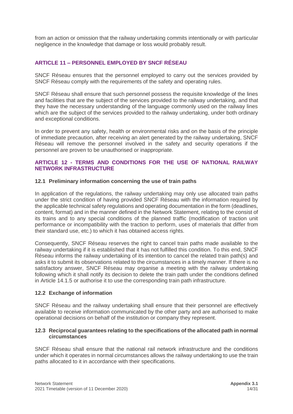from an action or omission that the railway undertaking commits intentionally or with particular negligence in the knowledge that damage or loss would probably result.

#### <span id="page-13-0"></span>**ARTICLE 11 – PERSONNEL EMPLOYED BY SNCF RÉSEAU**

SNCF Réseau ensures that the personnel employed to carry out the services provided by SNCF Réseau comply with the requirements of the safety and operating rules.

SNCF Réseau shall ensure that such personnel possess the requisite knowledge of the lines and facilities that are the subject of the services provided to the railway undertaking, and that they have the necessary understanding of the language commonly used on the railway lines which are the subject of the services provided to the railway undertaking, under both ordinary and exceptional conditions.

In order to prevent any safety, health or environmental risks and on the basis of the principle of immediate precaution, after receiving an alert generated by the railway undertaking, SNCF Réseau will remove the personnel involved in the safety and security operations if the personnel are proven to be unauthorised or inappropriate.

#### <span id="page-13-1"></span>**ARTICLE 12 - TERMS AND CONDITIONS FOR THE USE OF NATIONAL RAILWAY NETWORK INFRASTRUCTURE**

#### <span id="page-13-2"></span>**12.1 Preliminary information concerning the use of train paths**

In application of the regulations, the railway undertaking may only use allocated train paths under the strict condition of having provided SNCF Réseau with the information required by the applicable technical safety regulations and operating documentation in the form (deadlines, content, format) and in the manner defined in the Network Statement, relating to the consist of its trains and to any special conditions of the planned traffic (modification of traction unit performance or incompatibility with the traction to perform, uses of materials that differ from their standard use, etc.) to which it has obtained access rights.

Consequently, SNCF Réseau reserves the right to cancel train paths made available to the railway undertaking if it is established that it has not fulfilled this condition. To this end, SNCF Réseau informs the railway undertaking of its intention to cancel the related train path(s) and asks it to submit its observations related to the circumstances in a timely manner. If there is no satisfactory answer, SNCF Réseau may organise a meeting with the railway undertaking following which it shall notify its decision to delete the train path under the conditions defined in Article 14.1.5 or authorise it to use the corresponding train path infrastructure.

#### <span id="page-13-3"></span>**12.2 Exchange of information**

SNCF Réseau and the railway undertaking shall ensure that their personnel are effectively available to receive information communicated by the other party and are authorised to make operational decisions on behalf of the institution or company they represent.

#### <span id="page-13-4"></span>**12.3 Reciprocal guarantees relating to the specifications of the allocated path in normal circumstances**

SNCF Réseau shall ensure that the national rail network infrastructure and the conditions under which it operates in normal circumstances allows the railway undertaking to use the train paths allocated to it in accordance with their specifications.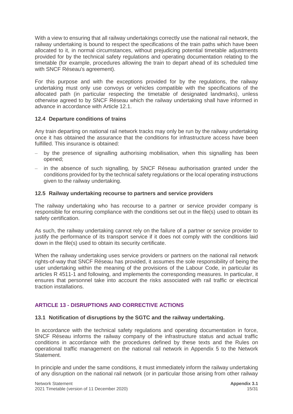With a view to ensuring that all railway undertakings correctly use the national rail network, the railway undertaking is bound to respect the specifications of the train paths which have been allocated to it, in normal circumstances, without prejudicing potential timetable adjustments provided for by the technical safety regulations and operating documentation relating to the timetable (for example, procedures allowing the train to depart ahead of its scheduled time with SNCF Réseau's agreement).

For this purpose and with the exceptions provided for by the regulations, the railway undertaking must only use convoys or vehicles compatible with the specifications of the allocated path (in particular respecting the timetable of designated landmarks), unless otherwise agreed to by SNCF Réseau which the railway undertaking shall have informed in advance in accordance with Article 12.1.

#### <span id="page-14-0"></span>**12.4 Departure conditions of trains**

Any train departing on national rail network tracks may only be run by the railway undertaking once it has obtained the assurance that the conditions for infrastructure access have been fulfilled. This insurance is obtained:

- by the presence of signalling authorising mobilisation, when this signalling has been opened;
- in the absence of such signalling, by SNCF Réseau authorisation granted under the conditions provided for by the technical safety regulations or the local operating instructions given to the railway undertaking.

#### <span id="page-14-1"></span>**12.5 Railway undertaking recourse to partners and service providers**

The railway undertaking who has recourse to a partner or service provider company is responsible for ensuring compliance with the conditions set out in the file(s) used to obtain its safety certification.

As such, the railway undertaking cannot rely on the failure of a partner or service provider to justify the performance of its transport service if it does not comply with the conditions laid down in the file(s) used to obtain its security certificate.

When the railway undertaking uses service providers or partners on the national rail network rights-of-way that SNCF Réseau has provided, it assumes the sole responsibility of being the user undertaking within the meaning of the provisions of the Labour Code, in particular its articles R 4511-1 and following, and implements the corresponding measures. In particular, it ensures that personnel take into account the risks associated with rail traffic or electrical traction installations.

#### <span id="page-14-2"></span>**ARTICLE 13 - DISRUPTIONS AND CORRECTIVE ACTIONS**

#### <span id="page-14-3"></span>**13.1 Notification of disruptions by the SGTC and the railway undertaking.**

In accordance with the technical safety regulations and operating documentation in force, SNCF Réseau informs the railway company of the infrastructure status and actual traffic conditions in accordance with the procedures defined by these texts and the Rules on operational traffic management on the national rail network in Appendix 5 to the Network Statement.

In principle and under the same conditions, it must immediately inform the railway undertaking of any disruption on the national rail network (or in particular those arising from other railway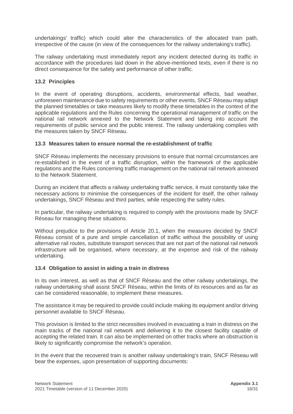undertakings' traffic) which could alter the characteristics of the allocated train path, irrespective of the cause (in view of the consequences for the railway undertaking's traffic).

The railway undertaking must immediately report any incident detected during its traffic in accordance with the procedures laid down in the above-mentioned texts, even if there is no direct consequence for the safety and performance of other traffic.

#### <span id="page-15-0"></span>**13.2 Principles**

In the event of operating disruptions, accidents, environmental effects, bad weather, unforeseen maintenance due to safety requirements or other events, SNCF Réseau may adapt the planned timetables or take measures likely to modify these timetables in the context of the applicable regulations and the Rules concerning the operational management of traffic on the national rail network annexed to the Network Statement and taking into account the requirements of public service and the public interest. The railway undertaking complies with the measures taken by SNCF Réseau.

#### <span id="page-15-1"></span>**13.3 Measures taken to ensure normal the re-establishment of traffic**

SNCF Réseau implements the necessary provisions to ensure that normal circumstances are re-established in the event of a traffic disruption, within the framework of the applicable regulations and the Rules concerning traffic management on the national rail network annexed to the Network Statement.

During an incident that affects a railway undertaking traffic service, it must constantly take the necessary actions to minimise the consequences of the incident for itself, the other railway undertakings, SNCF Réseau and third parties, while respecting the safety rules.

In particular, the railway undertaking is required to comply with the provisions made by SNCF Réseau for managing these situations.

Without prejudice to the provisions of Article 20.1, when the measures decided by SNCF Réseau consist of a pure and simple cancellation of traffic without the possibility of using alternative rail routes, substitute transport services that are not part of the national rail network infrastructure will be organised, where necessary, at the expense and risk of the railway undertaking.

#### <span id="page-15-2"></span>**13.4 Obligation to assist in aiding a train in distress**

In its own interest, as well as that of SNCF Réseau and the other railway undertakings, the railway undertaking shall assist SNCF Réseau, within the limits of its resources and as far as can be considered reasonable, to implement these measures.

The assistance it may be required to provide could include making its equipment and/or driving personnel available to SNCF Réseau.

This provision is limited to the strict necessities involved in evacuating a train in distress on the main tracks of the national rail network and delivering it to the closest facility capable of accepting the related train. It can also be implemented on other tracks where an obstruction is likely to significantly compromise the network's operation.

In the event that the recovered train is another railway undertaking's train, SNCF Réseau will bear the expenses, upon presentation of supporting documents: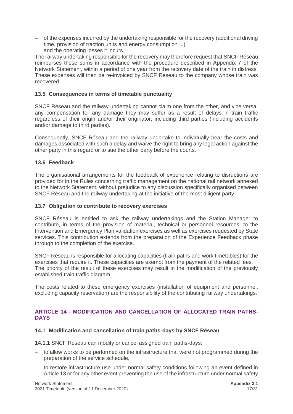- of the expenses incurred by the undertaking responsible for the recovery (additional driving time, provision of traction units and energy consumption ...)
- and the operating losses it incurs.

The railway undertaking responsible for the recovery may therefore request that SNCF Réseau reimburses these sums in accordance with the procedure described in Appendix 7 of the Network Statement, within a period of one year from the recovery date of the train in distress. These expenses will then be re-invoiced by SNCF Réseau to the company whose train was recovered.

#### <span id="page-16-0"></span>**13.5 Consequences in terms of timetable punctuality**

SNCF Réseau and the railway undertaking cannot claim one from the other, and vice versa, any compensation for any damage they may suffer as a result of delays in train traffic regardless of their origin and/or their originator, including third parties (including accidents and/or damage to third parties).

Consequently, SNCF Réseau and the railway undertake to individually bear the costs and damages associated with such a delay and waive the right to bring any legal action against the other party in this regard or to sue the other party before the courts.

#### <span id="page-16-1"></span>**13.6 Feedback**

The organisational arrangements for the feedback of experience relating to disruptions are provided for in the Rules concerning traffic management on the national rail network annexed to the Network Statement, without prejudice to any discussion specifically organised between SNCF Réseau and the railway undertaking at the initiative of the most diligent party.

#### <span id="page-16-2"></span>**13.7 Obligation to contribute to recovery exercises**

SNCF Réseau is entitled to ask the railway undertakings and the Station Manager to contribute, in terms of the provision of material, technical or personnel resources, to the Intervention and Emergency Plan validation exercises as well as exercises requested by State services. This contribution extends from the preparation of the Experience Feedback phase through to the completion of the exercise.

SNCF Réseau is responsible for allocating capacities (train paths and work timetables) for the exercises that require it. These capacities are exempt from the payment of the related fees. The priority of the result of these exercises may result in the modification of the previously established train traffic diagram.

The costs related to these emergency exercises (installation of equipment and personnel, excluding capacity reservation) are the responsibility of the contributing railway undertakings.

#### <span id="page-16-3"></span>**ARTICLE 14 - MODIFICATION AND CANCELLATION OF ALLOCATED TRAIN PATHS-DAYS**

#### <span id="page-16-4"></span>**14.1 Modification and cancellation of train paths-days by SNCF Réseau**

- **14.1.1** SNCF Réseau can modify or cancel assigned train paths-days:
- to allow works to be performed on the infrastructure that were not programmed during the preparation of the service schedule,
- to restore infrastructure use under normal safety conditions following an event defined in Article 13 or for any other event preventing the use of the infrastructure under normal safety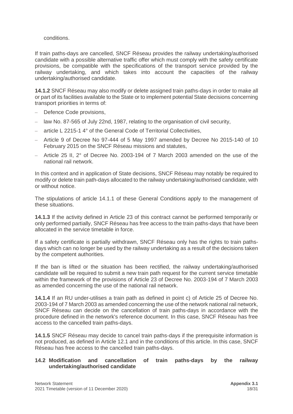#### conditions.

If train paths-days are cancelled, SNCF Réseau provides the railway undertaking/authorised candidate with a possible alternative traffic offer which must comply with the safety certificate provisions, be compatible with the specifications of the transport service provided by the railway undertaking, and which takes into account the capacities of the railway undertaking/authorised candidate.

**14.1.2** SNCF Réseau may also modify or delete assigned train paths-days in order to make all or part of its facilities available to the State or to implement potential State decisions concerning transport priorities in terms of:

- Defence Code provisions,
- law No. 87-565 of July 22nd, 1987, relating to the organisation of civil security,
- article L 2215-1 4° of the General Code of Territorial Collectivities,
- Article 9 of Decree No 97-444 of 5 May 1997 amended by Decree No 2015-140 of 10 February 2015 on the SNCF Réseau missions and statutes,
- $-$  Article 25 II, 2 $^{\circ}$  of Decree No. 2003-194 of 7 March 2003 amended on the use of the national rail network.

In this context and in application of State decisions, SNCF Réseau may notably be required to modify or delete train path-days allocated to the railway undertaking/authorised candidate, with or without notice.

The stipulations of article 14.1.1 of these General Conditions apply to the management of these situations.

**14.1.3** If the activity defined in Article 23 of this contract cannot be performed temporarily or only performed partially, SNCF Réseau has free access to the train paths-days that have been allocated in the service timetable in force.

If a safety certificate is partially withdrawn, SNCF Réseau only has the rights to train pathsdays which can no longer be used by the railway undertaking as a result of the decisions taken by the competent authorities.

If the ban is lifted or the situation has been rectified, the railway undertaking/authorised candidate will be required to submit a new train path request for the current service timetable within the framework of the provisions of Article 23 of Decree No. 2003-194 of 7 March 2003 as amended concerning the use of the national rail network.

**14.1.4** If an RU under-utilises a train path as defined in point c) of Article 25 of Decree No. 2003-194 of 7 March 2003 as amended concerning the use of the network national rail network, SNCF Réseau can decide on the cancellation of train paths-days in accordance with the procedure defined in the network's reference document. In this case, SNCF Réseau has free access to the cancelled train paths-days.

**14.1.5** SNCF Réseau may decide to cancel train paths-days if the prerequisite information is not produced, as defined in Article 12.1 and in the conditions of this article. In this case, SNCF Réseau has free access to the cancelled train paths-days.

#### <span id="page-17-0"></span>**14.2 Modification and cancellation of train paths-days by the railway undertaking/authorised candidate**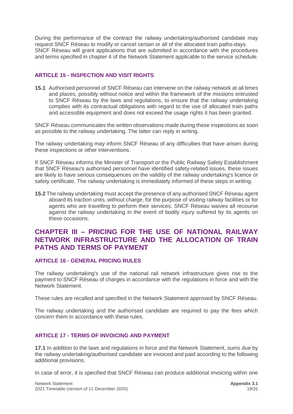During the performance of the contract the railway undertaking/authorised candidate may request SNCF Réseau to modify or cancel certain or all of the allocated train paths-days. SNCF Réseau will grant applications that are submitted in accordance with the procedures and terms specified in chapter 4 of the Network Statement applicable to the service schedule.

#### <span id="page-18-0"></span>**ARTICLE 15 - INSPECTION AND VISIT RIGHTS**

**15.1** Authorised personnel of SNCF Réseau can intervene on the railway network at all times and places, possibly without notice and within the framework of the missions entrusted to SNCF Réseau by the laws and regulations, to ensure that the railway undertaking complies with its contractual obligations with regard to the use of allocated train paths and accessible equipment and does not exceed the usage rights it has been granted.

SNCF Réseau communicates the written observations made during these inspections as soon as possible to the railway undertaking. The latter can reply in writing.

The railway undertaking may inform SNCF Réseau of any difficulties that have arisen during these inspections or other interventions.

If SNCF Réseau informs the Minister of Transport or the Public Railway Safety Establishment that SNCF Réseau's authorised personnel have identified safety-related issues, these issues are likely to have serious consequences on the validity of the railway undertaking's licence or safety certificate. The railway undertaking is immediately informed of these steps in writing.

**15.2** The railway undertaking must accept the presence of any authorised SNCF Réseau agent aboard its traction units, without charge, for the purpose of visiting railway facilities or for agents who are travelling to perform their services. SNCF Réseau waives all recourse against the railway undertaking in the event of bodily injury suffered by its agents on these occasions.

### <span id="page-18-1"></span>**CHAPTER III – PRICING FOR THE USE OF NATIONAL RAILWAY NETWORK INFRASTRUCTURE AND THE ALLOCATION OF TRAIN PATHS AND TERMS OF PAYMENT**

#### <span id="page-18-2"></span>**ARTICLE 16 - GENERAL PRICING RULES**

The railway undertaking's use of the national rail network infrastructure gives rise to the payment to SNCF Réseau of charges in accordance with the regulations in force and with the Network Statement.

These rules are recalled and specified in the Network Statement approved by SNCF Réseau.

The railway undertaking and the authorised candidate are required to pay the fees which concern them in accordance with these rules.

#### <span id="page-18-3"></span>**ARTICLE 17 - TERMS OF INVOICING AND PAYMENT**

**17.1** In addition to the laws and regulations in force and the Network Statement, sums due by the railway undertaking/authorised candidate are invoiced and paid according to the following additional provisions.

In case of error, it is specified that SNCF Réseau can produce additional invoicing within one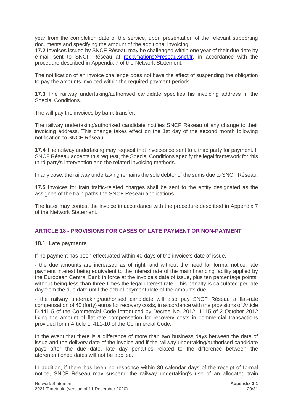year from the completion date of the service, upon presentation of the relevant supporting documents and specifying the amount of the additional invoicing.

**17.2** Invoices issued by SNCF Réseau may be challenged within one year of their due date by e-mail sent to SNCF Réseau at [reclamations@reseau.sncf.fr,](mailto:reclamations@reseau.sncf.fr) in accordance with the procedure described in Appendix 7 of the Network Statement.

The notification of an invoice challenge does not have the effect of suspending the obligation to pay the amounts invoiced within the required payment periods.

**17.3** The railway undertaking/authorised candidate specifies his invoicing address in the Special Conditions.

The will pay the invoices by bank transfer.

The railway undertaking/authorised candidate notifies SNCF Réseau of any change to their invoicing address. This change takes effect on the 1st day of the second month following notification to SNCF Réseau.

**17.4** The railway undertaking may request that invoices be sent to a third party for payment. If SNCF Réseau accepts this request, the Special Conditions specify the legal framework for this third party's intervention and the related invoicing methods.

In any case, the railway undertaking remains the sole debtor of the sums due to SNCF Réseau.

**17.5** Invoices for train traffic-related charges shall be sent to the entity designated as the assignee of the train paths the SNCF Réseau applications.

The latter may contest the invoice in accordance with the procedure described in Appendix 7 of the Network Statement.

#### <span id="page-19-0"></span>**ARTICLE 18 - PROVISIONS FOR CASES OF LATE PAYMENT OR NON-PAYMENT**

#### <span id="page-19-1"></span>**18.1 Late payments**

If no payment has been effectuated within 40 days of the invoice's date of issue,

- the due amounts are increased as of right, and without the need for formal notice, late payment interest being equivalent to the interest rate of the main financing facility applied by the European Central Bank in force at the invoice's date of issue, plus ten percentage points, without being less than three times the legal interest rate. This penalty is calculated per late day from the due date until the actual payment date of the amounts due.

- the railway undertaking/authorised candidate will also pay SNCF Réseau a flat-rate compensation of 40 (forty) euros for recovery costs, in accordance with the provisions of Article D.441-5 of the Commercial Code introduced by Decree No. 2012- 1115 of 2 October 2012 fixing the amount of flat-rate compensation for recovery costs in commercial transactions provided for in Article L. 411-10 of the Commercial Code.

In the event that there is a difference of more than two business days between the date of issue and the delivery date of the invoice and if the railway undertaking/authorised candidate pays after the due date, late day penalties related to the difference between the aforementioned dates will not be applied.

In addition, if there has been no response within 30 calendar days of the receipt of formal notice, SNCF Réseau may suspend the railway undertaking's use of an allocated train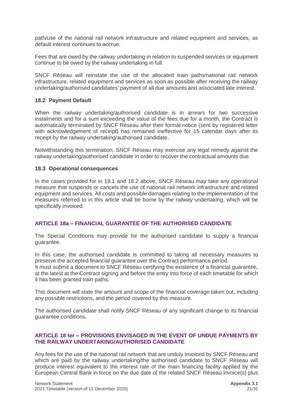path/use of the national rail network infrastructure and related equipment and services, as default interest continues to accrue.

Fees that are owed by the railway undertaking in relation to suspended services or equipment continue to be owed by the railway undertaking in full.

SNCF Réseau will reinstate the use of the allocated train paths/national rail network infrastructure, related equipment and services as soon as possible after receiving the railway undertaking/authorised candidates' payment of all due amounts and associated late interest.

#### <span id="page-20-0"></span>**18.2 Payment Default**

When the railway undertaking/authorised candidate is in arrears for two successive instalments and for a sum exceeding the value of the fees due for a month, the Contract is automatically terminated by SNCF Réseau after their formal notice (sent by registered letter with acknowledgement of receipt) has remained ineffective for 15 calendar days after its receipt by the railway undertaking/authorised candidate.

Notwithstanding this termination, SNCF Réseau may exercise any legal remedy against the railway undertaking/authorised candidate in order to recover the contractual amounts due.

#### <span id="page-20-1"></span>**18.3 Operational consequences**

In the cases provided for in 18.1 and 18.2 above, SNCF Réseau may take any operational measure that suspends or cancels the use of national rail network infrastructure and related equipment and services. All costs and possible damages relating to the implementation of the measures referred to in this article shall be borne by the railway undertaking, which will be specifically invoiced.

#### <span id="page-20-2"></span>**ARTICLE 18a – FINANCIAL GUARANTEE OF THE AUTHORISED CANDIDATE**

The Special Conditions may provide for the authorised candidate to supply a financial guarantee.

In this case, the authorised candidate is committed to taking all necessary measures to preserve the accepted financial guarantee over the Contract performance period.

It must submit a document to SNCF Réseau certifying the existence of a financial guarantee, at the latest at the Contract signing and before the entry into force of each timetable for which it has been granted train paths.

This document will state the amount and scope of the financial coverage taken out, including any possible restrictions, and the period covered by this measure.

The authorised candidate shall notify SNCF Réseau of any significant change to its financial guarantee conditions.

#### <span id="page-20-3"></span>**ARTICLE 18 ter – PROVISIONS ENVISAGED IN THE EVENT OF UNDUE PAYMENTS BY THE RAILWAY UNDERTAKING/AUTHORISED CANDIDATE**

Any fees for the use of the national rail network that are unduly invoiced by SNCF Réseau and which are paid by the railway undertaking/the authorised candidate to SNCF Réseau will produce interest equivalent to the interest rate of the main financing facility applied by the European Central Bank in force on the due date of the related SNCF Réseau invoice(s) plus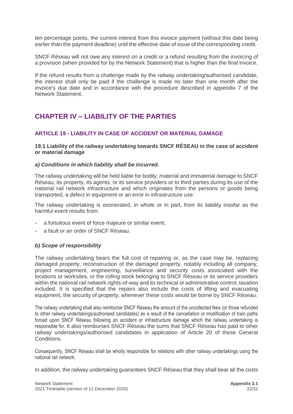ten percentage points, the current interest from this invoice payment (without this date being earlier than the payment deadline) until the effective date of issue of the corresponding credit.

SNCF Réseau will not owe any interest on a credit or a refund resulting from the invoicing of a provision (when provided for by the Network Statement) that is higher than the final invoice.

If the refund results from a challenge made by the railway undertaking/authorised candidate, the interest shall only be paid if the challenge is made no later than one month after the invoice's due date and in accordance with the procedure described in appendix 7 of the Network Statement.

# <span id="page-21-0"></span>**CHAPTER IV – LIABILITY OF THE PARTIES**

#### <span id="page-21-1"></span>**ARTICLE 19 - LIABILITY IN CASE OF ACCIDENT OR MATERIAL DAMAGE**

#### <span id="page-21-2"></span>**19.1 Liability of the railway undertaking towards SNCF RÉSEAU in the case of accident or material damage**

#### *a) Conditions in which liability shall be incurred.*

The railway undertaking will be held liable for bodily, material and immaterial damage to SNCF Réseau, its property, its agents, or its service providers or to third parties during its use of the national rail network infrastructure and which originates from the persons or goods being transported, a defect in equipment or an error in infrastructure use.

The railway undertaking is exonerated, in whole or in part, from its liability insofar as the harmful event results from:

- **-** a fortuitous event of force majeure or similar event;
- **-** a fault or an order of SNCF Réseau.

#### *b) Scope of responsibility*

The railway undertaking bears the full cost of repairing or, as the case may be, replacing damaged property, reconstruction of the damaged property, notably including all company, project management, engineering, surveillance and security costs associated with the locations or worksites, or the rolling stock belonging to SNCF Réseau or its service providers within the national rail network rights-of-way and its technical or administrative control, taxation included. It is specified that the repairs also include the costs of lifting and evacuating equipment, the security of property, whenever these costs would be borne by SNCF Réseau.

The railway undertaking shall also reimburse SNCF Réseau the amount of the uncollected fees (or those refunded to other railway undertakings/authorised candidates) as a result of the cancellation or modification of train paths forced upon SNCF Réseau following an accident or infrastructure damage which the railway undertaking is responsible for. It also reimburses SNCF Réseau the sums that SNCF Réseau has paid to other railway undertakings/authorised candidates in application of Article 20 of these General Conditions.

Consequently, SNCF Réseau shall be wholly responsible for relations with other railway undertakings using the national rail network.

In addition, the railway undertaking guarantees SNCF Réseau that they shall bear all the costs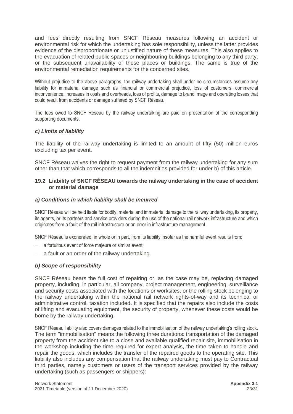and fees directly resulting from SNCF Réseau measures following an accident or environmental risk for which the undertaking has sole responsibility, unless the latter provides evidence of the disproportionate or unjustified nature of these measures. This also applies to the evacuation of related public spaces or neighbouring buildings belonging to any third party, or the subsequent unavailability of these places or buildings. The same is true of the environmental remediation requirements for the concerned sites.

Without prejudice to the above paragraphs, the railway undertaking shall under no circumstances assume any liability for immaterial damage such as financial or commercial prejudice, loss of customers, commercial inconvenience, increases in costs and overheads, loss of profits, damage to brand image and operating losses that could result from accidents or damage suffered by SNCF Réseau.

The fees owed to SNCF Réseau by the railway undertaking are paid on presentation of the corresponding supporting documents.

#### *c) Limits of liability*

The liability of the railway undertaking is limited to an amount of fifty (50) million euros excluding tax per event.

SNCF Réseau waives the right to request payment from the railway undertaking for any sum other than that which corresponds to all the indemnities provided for under b) of this article.

#### <span id="page-22-0"></span>**19.2 Liability of SNCF RÉSEAU towards the railway undertaking in the case of accident or material damage**

#### *a) Conditions in which liability shall be incurred*

SNCF Réseau will be held liable for bodily, material and immaterial damage to the railway undertaking, its property, its agents, or its partners and service providers during the use of the national rail network infrastructure and which originates from a fault of the rail infrastructure or an error in infrastructure management.

SNCF Réseau is exonerated, in whole or in part, from its liability insofar as the harmful event results from:

- a fortuitous event of force majeure or similar event;
- a fault or an order of the railway undertaking.

#### *b) Scope of responsibility*

SNCF Réseau bears the full cost of repairing or, as the case may be, replacing damaged property, including, in particular, all company, project management, engineering, surveillance and security costs associated with the locations or worksites, or the rolling stock belonging to the railway undertaking within the national rail network rights-of-way and its technical or administrative control, taxation included**.** It is specified that the repairs also include the costs of lifting and evacuating equipment, the security of property, whenever these costs would be borne by the railway undertaking.

SNCF Réseau liability also covers damages related to the immobilisation of the railway undertaking's rolling stock. The term "immobilisation" means the following three durations: transportation of the damaged property from the accident site to a close and available qualified repair site, immobilisation in the workshop including the time required for expert analysis, the time taken to handle and repair the goods, which includes the transfer of the repaired goods to the operating site. This liability also includes any compensation that the railway undertaking must pay to Contractual third parties, namely customers or users of the transport services provided by the railway undertaking (such as passengers or shippers):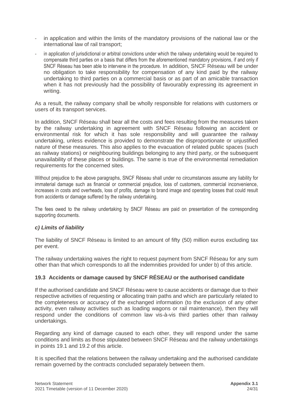- in application and within the limits of the mandatory provisions of the national law or the international law of rail transport;
- in application of jurisdictional or arbitral convictions under which the railway undertaking would be required to compensate third parties on a basis that differs from the aforementioned mandatory provisions, if and only if SNCF Réseau has been able to intervene in the procedure. In addition, SNCF Réseau will be under no obligation to take responsibility for compensation of any kind paid by the railway undertaking to third parties on a commercial basis or as part of an amicable transaction when it has not previously had the possibility of favourably expressing its agreement in writing.

As a result, the railway company shall be wholly responsible for relations with customers or users of its transport services.

In addition, SNCF Réseau shall bear all the costs and fees resulting from the measures taken by the railway undertaking in agreement with SNCF Réseau following an accident or environmental risk for which it has sole responsibility and will guarantee the railway undertaking, unless evidence is provided to demonstrate the disproportionate or unjustified nature of these measures. This also applies to the evacuation of related public spaces (such as railway stations) or neighbouring buildings belonging to any third party, or the subsequent unavailability of these places or buildings. The same is true of the environmental remediation requirements for the concerned sites.

Without prejudice to the above paragraphs, SNCF Réseau shall under no circumstances assume any liability for immaterial damage such as financial or commercial prejudice, loss of customers, commercial inconvenience, increases in costs and overheads, loss of profits, damage to brand image and operating losses that could result from accidents or damage suffered by the railway undertaking.

The fees owed to the railway undertaking by SNCF Réseau are paid on presentation of the corresponding supporting documents.

#### *c) Limits of liability*

The liability of SNCF Réseau is limited to an amount of fifty (50) million euros excluding tax per event.

The railway undertaking waives the right to request payment from SNCF Réseau for any sum other than that which corresponds to all the indemnities provided for under b) of this article.

#### <span id="page-23-0"></span>**19.3 Accidents or damage caused by SNCF RÉSEAU or the authorised candidate**

If the authorised candidate and SNCF Réseau were to cause accidents or damage due to their respective activities of requesting or allocating train paths and which are particularly related to the completeness or accuracy of the exchanged information (to the exclusion of any other activity, even railway activities such as loading wagons or rail maintenance), then they will respond under the conditions of common law vis-à-vis third parties other than railway undertakings.

Regarding any kind of damage caused to each other, they will respond under the same conditions and limits as those stipulated between SNCF Réseau and the railway undertakings in points 19.1 and 19.2 of this article.

It is specified that the relations between the railway undertaking and the authorised candidate remain governed by the contracts concluded separately between them.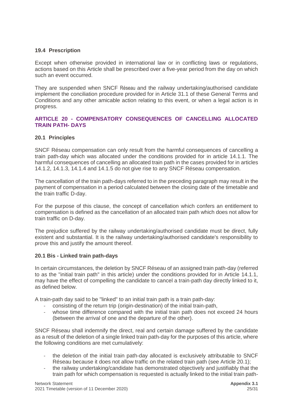#### <span id="page-24-0"></span>**19.4 Prescription**

Except when otherwise provided in international law or in conflicting laws or regulations, actions based on this Article shall be prescribed over a five-year period from the day on which such an event occurred.

They are suspended when SNCF Réseau and the railway undertaking/authorised candidate implement the conciliation procedure provided for in Article 31.1 of these General Terms and Conditions and any other amicable action relating to this event, or when a legal action is in progress.

#### <span id="page-24-1"></span>**ARTICLE 20 - COMPENSATORY CONSEQUENCES OF CANCELLING ALLOCATED TRAIN PATH- DAYS**

#### <span id="page-24-2"></span>**20.1 Principles**

SNCF Réseau compensation can only result from the harmful consequences of cancelling a train path-day which was allocated under the conditions provided for in article 14.1.1. The harmful consequences of cancelling an allocated train path in the cases provided for in articles 14.1.2, 14.1.3, 14.1.4 and 14.1.5 do not give rise to any SNCF Réseau compensation.

The cancellation of the train path-days referred to in the preceding paragraph may result in the payment of compensation in a period calculated between the closing date of the timetable and the train traffic D-day.

For the purpose of this clause, the concept of cancellation which confers an entitlement to compensation is defined as the cancellation of an allocated train path which does not allow for train traffic on D-day.

The prejudice suffered by the railway undertaking/authorised candidate must be direct, fully existent and substantial. It is the railway undertaking/authorised candidate's responsibility to prove this and justify the amount thereof.

#### <span id="page-24-3"></span>**20.1 Bis - Linked train path-days**

In certain circumstances, the deletion by SNCF Réseau of an assigned train path-day (referred to as the "initial train path" in this article) under the conditions provided for in Article 14.1.1, may have the effect of compelling the candidate to cancel a train-path day directly linked to it, as defined below.

A train-path day said to be "linked" to an initial train path is a train path-day:

- consisting of the return trip (origin-destination) of the initial train-path,
- whose time difference compared with the initial train path does not exceed 24 hours (between the arrival of one and the departure of the other).

SNCF Réseau shall indemnify the direct, real and certain damage suffered by the candidate as a result of the deletion of a single linked train path-day for the purposes of this article, where the following conditions are met cumulatively:

- the deletion of the initial train path-day allocated is exclusively attributable to SNCF Réseau because it does not allow traffic on the related train path (see Article 20.1);
- the railway undertaking/candidate has demonstrated objectively and justifiably that the train path for which compensation is requested is actually linked to the initial train path-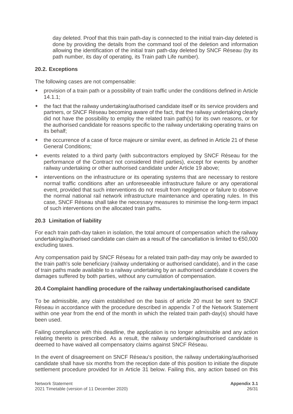day deleted. Proof that this train path-day is connected to the initial train-day deleted is done by providing the details from the command tool of the deletion and information allowing the identification of the initial train path-day deleted by SNCF Réseau (by its path number, its day of operating, its Train path Life number).

#### <span id="page-25-0"></span>**20.2. Exceptions**

The following cases are not compensable:

- provision of a train path or a possibility of train traffic under the conditions defined in Article 14.1.1;
- the fact that the railway undertaking/authorised candidate itself or its service providers and partners, or SNCF Réseau becoming aware of the fact, that the railway undertaking clearly did not have the possibility to employ the related train path(s) for its own reasons, or for the authorised candidate for reasons specific to the railway undertaking operating trains on its behalf;
- the occurrence of a case of force majeure or similar event, as defined in Article 21 of these General Conditions;
- events related to a third party (with subcontractors employed by SNCF Réseau for the performance of the Contract not considered third parties), except for events by another railway undertaking or other authorised candidate under Article 19 above;
- interventions on the infrastructure or its operating systems that are necessary to restore normal traffic conditions after an unforeseeable infrastructure failure or any operational event, provided that such interventions do not result from negligence or failure to observe the normal national rail network infrastructure maintenance and operating rules. In this case, SNCF Réseau shall take the necessary measures to minimise the long-term impact of such interventions on the allocated train paths**.**

#### <span id="page-25-1"></span>**20.3 Limitation of liability**

For each train path-day taken in isolation, the total amount of compensation which the railway undertaking/authorised candidate can claim as a result of the cancellation is limited to €50,000 excluding taxes.

Any compensation paid by SNCF Réseau for a related train path-day may only be awarded to the train path's sole beneficiary (railway undertaking or authorised candidate), and in the case of train paths made available to a railway undertaking by an authorised candidate it covers the damages suffered by both parties, without any cumulation of compensation.

#### <span id="page-25-2"></span>**20.4 Complaint handling procedure of the railway undertaking/authorised candidate**

To be admissible, any claim established on the basis of article 20 must be sent to SNCF Réseau in accordance with the procedure described in appendix 7 of the Network Statement within one year from the end of the month in which the related train path-day(s) should have been used.

Failing compliance with this deadline, the application is no longer admissible and any action relating thereto is prescribed. As a result, the railway undertaking/authorised candidate is deemed to have waived all compensatory claims against SNCF Réseau.

In the event of disagreement on SNCF Réseau's position, the railway undertaking/authorised candidate shall have six months from the reception date of this position to initiate the dispute settlement procedure provided for in Article 31 below. Failing this, any action based on this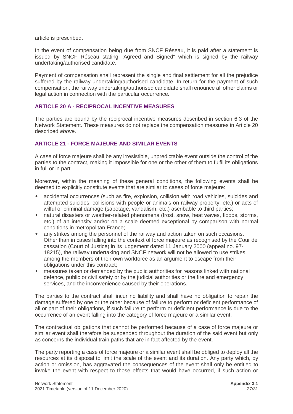article is prescribed.

In the event of compensation being due from SNCF Réseau, it is paid after a statement is issued by SNCF Réseau stating "Agreed and Signed" which is signed by the railway undertaking/authorised candidate.

Payment of compensation shall represent the single and final settlement for all the prejudice suffered by the railway undertaking/authorised candidate. In return for the payment of such compensation, the railway undertaking/authorised candidate shall renounce all other claims or legal action in connection with the particular occurrence.

#### <span id="page-26-0"></span>**ARTICLE 20 A - RECIPROCAL INCENTIVE MEASURES**

The parties are bound by the reciprocal incentive measures described in section 6.3 of the Network Statement. These measures do not replace the compensation measures in Article 20 described *above*.

#### <span id="page-26-1"></span>**ARTICLE 21 - FORCE MAJEURE AND SIMILAR EVENTS**

A case of force majeure shall be any irresistible, unpredictable event outside the control of the parties to the contract, making it impossible for one or the other of them to fulfil its obligations in full or in part.

Moreover, within the meaning of these general conditions, the following events shall be deemed to explicitly constitute events that are similar to cases of force majeure:

- accidental occurrences (such as fire, explosion, collision with road vehicles, suicides and attempted suicides, collisions with people or animals on railway property, etc.) or acts of wilful or criminal damage (sabotage, vandalism, etc.) ascribable to third parties;
- natural disasters or weather-related phenomena (frost, snow, heat waves, floods, storms, etc.) of an intensity and/or on a scale deemed exceptional by comparison with normal conditions in metropolitan France;
- any strikes among the personnel of the railway and action taken on such occasions. Other than in cases falling into the context of force majeure as recognised by the Cour de cassation (Court of Justice) in its judgement dated 11 January 2000 (appeal no. 97- 18215), the railway undertaking and SNCF network will not be allowed to use strikes among the members of their own workforce as an argument to escape from their obligations under this contract;
- measures taken or demanded by the public authorities for reasons linked with national defence, public or civil safety or by the judicial authorities or the fire and emergency services, and the inconvenience caused by their operations.

The parties to the contract shall incur no liability and shall have no obligation to repair the damage suffered by one or the other because of failure to perform or deficient performance of all or part of their obligations, if such failure to perform or deficient performance is due to the occurrence of an event falling into the category of force majeure or a similar event.

The contractual obligations that cannot be performed because of a case of force majeure or similar event shall therefore be suspended throughout the duration of the said event but only as concerns the individual train paths that are in fact affected by the event.

The party reporting a case of force majeure or a similar event shall be obliged to deploy all the resources at its disposal to limit the scale of the event and its duration. Any party which, by action or omission, has aggravated the consequences of the event shall only be entitled to invoke the event with respect to those effects that would have occurred, if such action or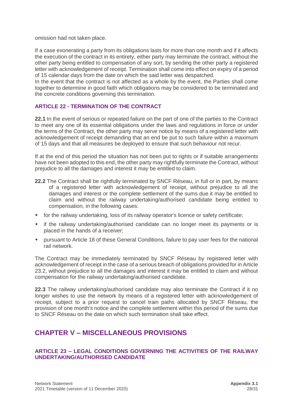omission had not taken place.

If a case exonerating a party from its obligations lasts for more than one month and if it affects the execution of the contract in its entirety, either party may terminate the contract, without the other party being entitled to compensation of any sort, by sending the other party a registered letter with acknowledgement of receipt. Termination shall come into effect on expiry of a period of 15 calendar days from the date on which the said letter was despatched.

In the event that the contract is not affected as a whole by the event, the Parties shall come together to determine in good faith which obligations may be considered to be terminated and the concrete conditions governing this termination.

#### <span id="page-27-0"></span>**ARTICLE 22 - TERMINATION OF THE CONTRACT**

**22.1** In the event of serious or repeated failure on the part of one of the parties to the Contract to meet any one of its essential obligations under the laws and regulations in force or under the terms of the Contract, the other party may serve notice by means of a registered letter with acknowledgement of receipt demanding that an end be put to such failure within a maximum of 15 days and that all measures be deployed to ensure that such behaviour not recur.

If at the end of this period the situation has not been put to rights or if suitable arrangements have not been adopted to this end, the other party may rightfully terminate the Contract, without prejudice to all the damages and interest it may be entitled to claim.

- **22.2** The Contract shall be rightfully terminated by SNCF Réseau, in full or in part, by means of a registered letter with acknowledgement of receipt, without prejudice to all the damages and interest or the complete settlement of the sums due it may be entitled to claim and without the railway undertaking/authorised candidate being entitled to compensation, in the following cases:
- for the railway undertaking, loss of its railway operator's licence or safety certificate;
- if the railway undertaking/authorised candidate can no longer meet its payments or is placed in the hands of a receiver;
- pursuant to Article 18 of these General Conditions, failure to pay user fees for the national rail network.

The Contract may be immediately terminated by SNCF Réseau by registered letter with acknowledgement of receipt in the case of a serious breach of obligations provided for in Article 23.2, without prejudice to all the damages and interest it may be entitled to claim and without compensation for the railway undertaking/authorised candidate.

**22.3** The railway undertaking/authorised candidate may also terminate the Contract if it no longer wishes to use the network by means of a registered letter with acknowledgement of receipt, subject to a prior request to cancel train paths allocated by SNCF Réseau, the provision of one month's notice and the complete settlement within this period of the sums due to SNCF Réseau on the date on which such termination shall take effect.

# <span id="page-27-1"></span>**CHAPTER V – MISCELLANEOUS PROVISIONS**

#### <span id="page-27-2"></span>**ARTICLE 23 – LEGAL CONDITIONS GOVERNING THE ACTIVITIES OF THE RAILWAY UNDERTAKING/AUTHORISED CANDIDATE**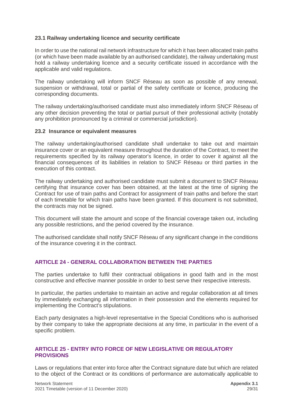#### <span id="page-28-0"></span>**23.1 Railway undertaking licence and security certificate**

In order to use the national rail network infrastructure for which it has been allocated train paths (or which have been made available by an authorised candidate), the railway undertaking must hold a railway undertaking licence and a security certificate issued in accordance with the applicable and valid regulations.

The railway undertaking will inform SNCF Réseau as soon as possible of any renewal, suspension or withdrawal, total or partial of the safety certificate or licence, producing the corresponding documents.

The railway undertaking/authorised candidate must also immediately inform SNCF Réseau of any other decision preventing the total or partial pursuit of their professional activity (notably any prohibition pronounced by a criminal or commercial jurisdiction).

#### <span id="page-28-1"></span>**23.2 Insurance or equivalent measures**

The railway undertaking/authorised candidate shall undertake to take out and maintain insurance cover or an equivalent measure throughout the duration of the Contract, to meet the requirements specified by its railway operator's licence, in order to cover it against all the financial consequences of its liabilities in relation to SNCF Réseau or third parties in the execution of this contract.

The railway undertaking and authorised candidate must submit a document to SNCF Réseau certifying that insurance cover has been obtained, at the latest at the time of signing the Contract for use of train paths and Contract for assignment of train paths and before the start of each timetable for which train paths have been granted. If this document is not submitted, the contracts may not be signed.

This document will state the amount and scope of the financial coverage taken out, including any possible restrictions, and the period covered by the insurance.

The authorised candidate shall notify SNCF Réseau of any significant change in the conditions of the insurance covering it in the contract.

#### <span id="page-28-2"></span>**ARTICLE 24 - GENERAL COLLABORATION BETWEEN THE PARTIES**

The parties undertake to fulfil their contractual obligations in good faith and in the most constructive and effective manner possible in order to best serve their respective interests.

In particular, the parties undertake to maintain an active and regular collaboration at all times by immediately exchanging all information in their possession and the elements required for implementing the Contract's stipulations.

Each party designates a high-level representative in the Special Conditions who is authorised by their company to take the appropriate decisions at any time, in particular in the event of a specific problem.

#### **ARTICLE 25 - ENTRY INTO FORCE OF NEW LEGISLATIVE OR REGULATORY PROVISIONS**

Laws or regulations that enter into force after the Contract signature date but which are related to the object of the Contract or its conditions of performance are automatically applicable to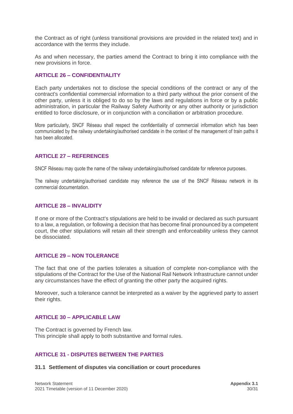the Contract as of right (unless transitional provisions are provided in the related text) and in accordance with the terms they include.

As and when necessary, the parties amend the Contract to bring it into compliance with the new provisions in force.

#### <span id="page-29-0"></span>**ARTICLE 26 – CONFIDENTIALITY**

Each party undertakes not to disclose the special conditions of the contract or any of the contract's confidential commercial information to a third party without the prior consent of the other party, unless it is obliged to do so by the laws and regulations in force or by a public administration, in particular the Railway Safety Authority or any other authority or jurisdiction entitled to force disclosure, or in conjunction with a conciliation or arbitration procedure.

More particularly, SNCF Réseau shall respect the confidentiality of commercial information which has been communicated by the railway undertaking/authorised candidate in the context of the management of train paths it has been allocated.

#### <span id="page-29-1"></span>**ARTICLE 27 – REFERENCES**

SNCF Réseau may quote the name of the railway undertaking/authorised candidate for reference purposes.

The railway undertaking/authorised candidate may reference the use of the SNCF Réseau network in its commercial documentation.

#### <span id="page-29-2"></span>**ARTICLE 28 – INVALIDITY**

If one or more of the Contract's stipulations are held to be invalid or declared as such pursuant to a law, a regulation, or following a decision that has become final pronounced by a competent court, the other stipulations will retain all their strength and enforceability unless they cannot be dissociated.

#### <span id="page-29-3"></span>**ARTICLE 29 – NON TOLERANCE**

The fact that one of the parties tolerates a situation of complete non-compliance with the stipulations of the Contract for the Use of the National Rail Network Infrastructure cannot under any circumstances have the effect of granting the other party the acquired rights.

Moreover, such a tolerance cannot be interpreted as a waiver by the aggrieved party to assert their rights.

#### <span id="page-29-4"></span>**ARTICLE 30 – APPLICABLE LAW**

The Contract is governed by French law. This principle shall apply to both substantive and formal rules.

#### **ARTICLE 31 - DISPUTES BETWEEN THE PARTIES**

#### <span id="page-29-5"></span>**31.1 Settlement of disputes via conciliation or court procedures**